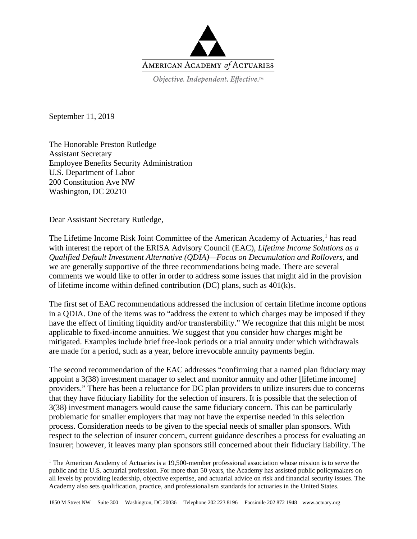

September 11, 2019

The Honorable Preston Rutledge Assistant Secretary Employee Benefits Security Administration U.S. Department of Labor 200 Constitution Ave NW Washington, DC 20210

Dear Assistant Secretary Rutledge,

The Lifetime Income Risk Joint Committee of the American Academy of Actuaries,<sup>[1](#page-0-0)</sup> has read with interest the report of the ERISA Advisory Council (EAC), *Lifetime Income Solutions as a Qualified Default Investment Alternative (QDIA)—Focus on Decumulation and Rollovers*, and we are generally supportive of the three recommendations being made. There are several comments we would like to offer in order to address some issues that might aid in the provision of lifetime income within defined contribution (DC) plans, such as 401(k)s.

The first set of EAC recommendations addressed the inclusion of certain lifetime income options in a QDIA. One of the items was to "address the extent to which charges may be imposed if they have the effect of limiting liquidity and/or transferability." We recognize that this might be most applicable to fixed-income annuities. We suggest that you consider how charges might be mitigated. Examples include brief free-look periods or a trial annuity under which withdrawals are made for a period, such as a year, before irrevocable annuity payments begin.

The second recommendation of the EAC addresses "confirming that a named plan fiduciary may appoint a 3(38) investment manager to select and monitor annuity and other [lifetime income] providers." There has been a reluctance for DC plan providers to utilize insurers due to concerns that they have fiduciary liability for the selection of insurers. It is possible that the selection of 3(38) investment managers would cause the same fiduciary concern. This can be particularly problematic for smaller employers that may not have the expertise needed in this selection process. Consideration needs to be given to the special needs of smaller plan sponsors. With respect to the selection of insurer concern, current guidance describes a process for evaluating an insurer; however, it leaves many plan sponsors still concerned about their fiduciary liability. The

<span id="page-0-0"></span><sup>&</sup>lt;sup>1</sup> The American Academy of Actuaries is a 19,500-member professional association whose mission is to serve the public and the U.S. actuarial profession. For more than 50 years, the Academy has assisted public policymakers on all levels by providing leadership, objective expertise, and actuarial advice on risk and financial security issues. The Academy also sets qualification, practice, and professionalism standards for actuaries in the United States.